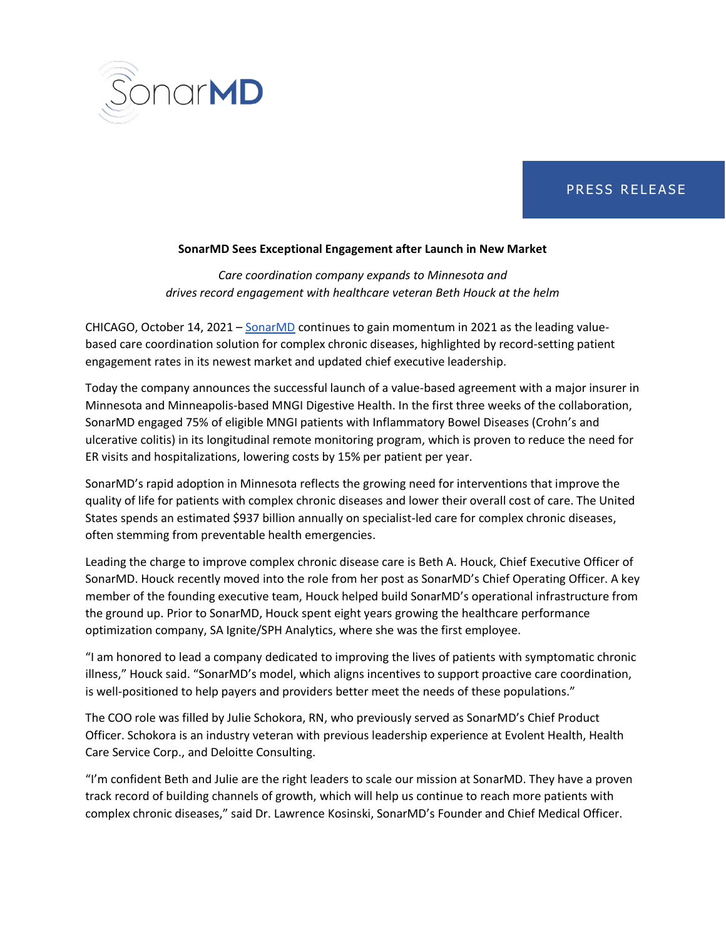

## PRESS RELEASE

## **SonarMD Sees Exceptional Engagement after Launch in New Market**

*Care coordination company expands to Minnesota and drives record engagement with healthcare veteran Beth Houck at the helm* 

CHICAGO, October 14, 2021 – [SonarMD](https://sonarmd.com/) continues to gain momentum in 2021 as the leading valuebased care coordination solution for complex chronic diseases, highlighted by record-setting patient engagement rates in its newest market and updated chief executive leadership.

Today the company announces the successful launch of a value-based agreement with a major insurer in Minnesota and Minneapolis-based MNGI Digestive Health. In the first three weeks of the collaboration, SonarMD engaged 75% of eligible MNGI patients with Inflammatory Bowel Diseases (Crohn's and ulcerative colitis) in its longitudinal remote monitoring program, which is proven to reduce the need for ER visits and hospitalizations, lowering costs by 15% per patient per year.

SonarMD's rapid adoption in Minnesota reflects the growing need for interventions that improve the quality of life for patients with complex chronic diseases and lower their overall cost of care. The United States spends an estimated \$937 billion annually on specialist-led care for complex chronic diseases, often stemming from preventable health emergencies.

Leading the charge to improve complex chronic disease care is Beth A. Houck, Chief Executive Officer of SonarMD. Houck recently moved into the role from her post as SonarMD's Chief Operating Officer. A key member of the founding executive team, Houck helped build SonarMD's operational infrastructure from the ground up. Prior to SonarMD, Houck spent eight years growing the healthcare performance optimization company, SA Ignite/SPH Analytics, where she was the first employee.

"I am honored to lead a company dedicated to improving the lives of patients with symptomatic chronic illness," Houck said. "SonarMD's model, which aligns incentives to support proactive care coordination, is well-positioned to help payers and providers better meet the needs of these populations."

The COO role was filled by Julie Schokora, RN, who previously served as SonarMD's Chief Product Officer. Schokora is an industry veteran with previous leadership experience at Evolent Health, Health Care Service Corp., and Deloitte Consulting.

"I'm confident Beth and Julie are the right leaders to scale our mission at SonarMD. They have a proven track record of building channels of growth, which will help us continue to reach more patients with complex chronic diseases," said Dr. Lawrence Kosinski, SonarMD's Founder and Chief Medical Officer.